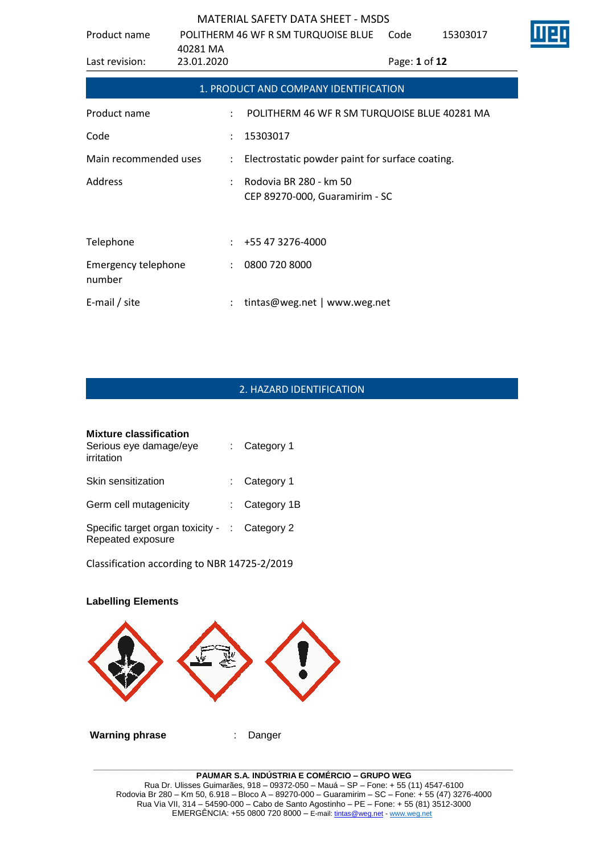| Product name                  | 40281 MA             | POLITHERM 46 WF R SM TURQUOISE BLUE                      | Code          | 15303017 |  |
|-------------------------------|----------------------|----------------------------------------------------------|---------------|----------|--|
| Last revision:                | 23.01.2020           |                                                          | Page: 1 of 12 |          |  |
|                               |                      | 1. PRODUCT AND COMPANY IDENTIFICATION                    |               |          |  |
| Product name                  |                      | POLITHERM 46 WF R SM TURQUOISE BLUE 40281 MA             |               |          |  |
| Code                          |                      | 15303017                                                 |               |          |  |
| Main recommended uses         | ÷                    | Electrostatic powder paint for surface coating.          |               |          |  |
| Address                       |                      | Rodovia BR 280 - km 50<br>CEP 89270-000, Guaramirim - SC |               |          |  |
| Telephone                     |                      | +55 47 3276-4000                                         |               |          |  |
| Emergency telephone<br>number | $\ddot{\phantom{a}}$ | 0800 720 8000                                            |               |          |  |
| E-mail / site                 |                      | tintas@weg.net   www.weg.net                             |               |          |  |

# 2. HAZARD IDENTIFICATION

| <b>Mixture classification</b><br>Serious eye damage/eye<br>irritation | : Category 1    |
|-----------------------------------------------------------------------|-----------------|
| Skin sensitization                                                    | $:$ Category 1  |
| Germ cell mutagenicity                                                | : Category $1B$ |
| Specific target organ toxicity - : Category 2<br>Repeated exposure    |                 |

Classification according to NBR 14725-2/2019

# **Labelling Elements Warning phrase** : Danger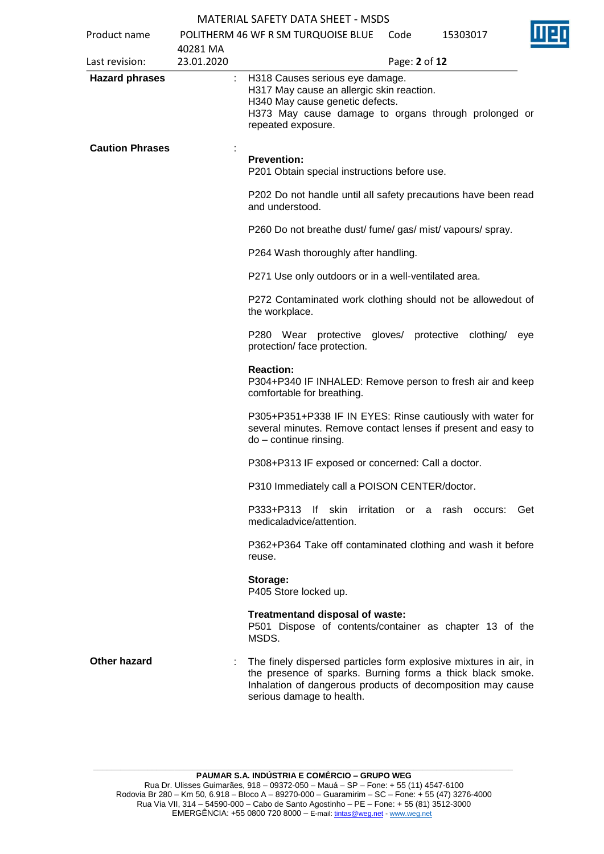| Product name           |                        | POLITHERM 46 WF R SM TURQUOISE BLUE                                                                                                                                                                                         | Code | 15303017                |     |
|------------------------|------------------------|-----------------------------------------------------------------------------------------------------------------------------------------------------------------------------------------------------------------------------|------|-------------------------|-----|
| Last revision:         | 40281 MA<br>23.01.2020 |                                                                                                                                                                                                                             |      | Page: 2 of 12           |     |
| <b>Hazard phrases</b>  | ÷.                     | H318 Causes serious eye damage.<br>H317 May cause an allergic skin reaction.<br>H340 May cause genetic defects.<br>H373 May cause damage to organs through prolonged or<br>repeated exposure.                               |      |                         |     |
| <b>Caution Phrases</b> |                        | <b>Prevention:</b><br>P201 Obtain special instructions before use.                                                                                                                                                          |      |                         |     |
|                        |                        | P202 Do not handle until all safety precautions have been read<br>and understood.                                                                                                                                           |      |                         |     |
|                        |                        | P260 Do not breathe dust/ fume/ gas/ mist/ vapours/ spray.                                                                                                                                                                  |      |                         |     |
|                        |                        | P264 Wash thoroughly after handling.                                                                                                                                                                                        |      |                         |     |
|                        |                        | P271 Use only outdoors or in a well-ventilated area.                                                                                                                                                                        |      |                         |     |
|                        |                        | P272 Contaminated work clothing should not be allowedout of<br>the workplace.                                                                                                                                               |      |                         |     |
|                        |                        | P280 Wear protective gloves/<br>protection/ face protection.                                                                                                                                                                |      | protective<br>clothing/ | eye |
|                        |                        | <b>Reaction:</b><br>P304+P340 IF INHALED: Remove person to fresh air and keep<br>comfortable for breathing.                                                                                                                 |      |                         |     |
|                        |                        | P305+P351+P338 IF IN EYES: Rinse cautiously with water for<br>several minutes. Remove contact lenses if present and easy to<br>do - continue rinsing.                                                                       |      |                         |     |
|                        |                        | P308+P313 IF exposed or concerned: Call a doctor.                                                                                                                                                                           |      |                         |     |
|                        |                        | P310 Immediately call a POISON CENTER/doctor.                                                                                                                                                                               |      |                         |     |
|                        |                        | If skin<br>irritation<br>P333+P313<br>medicaladvice/attention.                                                                                                                                                              |      | or a rash occurs: Get   |     |
|                        |                        | P362+P364 Take off contaminated clothing and wash it before<br>reuse.                                                                                                                                                       |      |                         |     |
|                        |                        | Storage:<br>P405 Store locked up.                                                                                                                                                                                           |      |                         |     |
|                        |                        | Treatmentand disposal of waste:<br>P501 Dispose of contents/container as chapter 13 of the<br>MSDS.                                                                                                                         |      |                         |     |
| Other hazard           |                        | The finely dispersed particles form explosive mixtures in air, in<br>the presence of sparks. Burning forms a thick black smoke.<br>Inhalation of dangerous products of decomposition may cause<br>serious damage to health. |      |                         |     |
|                        |                        |                                                                                                                                                                                                                             |      |                         |     |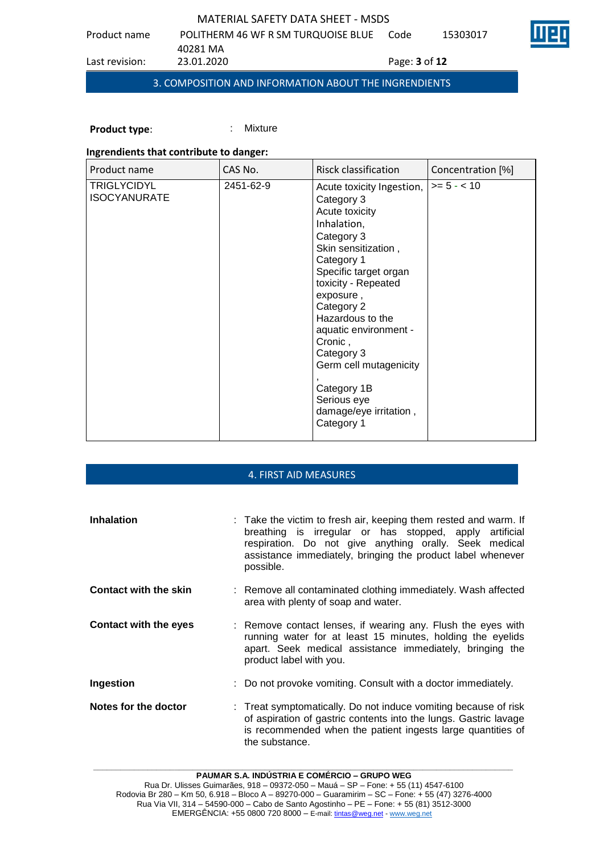| Last revision: | 23.01.2020                          | Page: <b>3</b> of <b>12</b> |          |  |
|----------------|-------------------------------------|-----------------------------|----------|--|
|                | 40281 MA                            |                             |          |  |
| Product name   | POLITHERM 46 WF R SM TURQUOISE BLUE | Code                        | 15303017 |  |

# 3. COMPOSITION AND INFORMATION ABOUT THE INGRENDIENTS

**Product type:** : : : : : Mixture

# **Ingrendients that contribute to danger:**

| Product name                              | CAS No.   | Risck classification                                                                                                                                                                                                                                                                                                                                                         | Concentration [%] |
|-------------------------------------------|-----------|------------------------------------------------------------------------------------------------------------------------------------------------------------------------------------------------------------------------------------------------------------------------------------------------------------------------------------------------------------------------------|-------------------|
| <b>TRIGLYCIDYL</b><br><b>ISOCYANURATE</b> | 2451-62-9 | Acute toxicity Ingestion,<br>Category 3<br>Acute toxicity<br>Inhalation,<br>Category 3<br>Skin sensitization,<br>Category 1<br>Specific target organ<br>toxicity - Repeated<br>exposure,<br>Category 2<br>Hazardous to the<br>aquatic environment -<br>Cronic,<br>Category 3<br>Germ cell mutagenicity<br>Category 1B<br>Serious eye<br>damage/eye irritation,<br>Category 1 | $>= 5 - < 10$     |

# 4. FIRST AID MEASURES

| <b>Inhalation</b>            | : Take the victim to fresh air, keeping them rested and warm. If<br>breathing is irregular or has stopped, apply artificial<br>respiration. Do not give anything orally. Seek medical<br>assistance immediately, bringing the product label whenever<br>possible. |
|------------------------------|-------------------------------------------------------------------------------------------------------------------------------------------------------------------------------------------------------------------------------------------------------------------|
| <b>Contact with the skin</b> | : Remove all contaminated clothing immediately. Wash affected<br>area with plenty of soap and water.                                                                                                                                                              |
| <b>Contact with the eyes</b> | : Remove contact lenses, if wearing any. Flush the eyes with<br>running water for at least 15 minutes, holding the eyelids<br>apart. Seek medical assistance immediately, bringing the<br>product label with you.                                                 |
| Ingestion                    | : Do not provoke vomiting. Consult with a doctor immediately.                                                                                                                                                                                                     |
| Notes for the doctor         | : Treat symptomatically. Do not induce vomiting because of risk<br>of aspiration of gastric contents into the lungs. Gastric lavage<br>is recommended when the patient ingests large quantities of<br>the substance.                                              |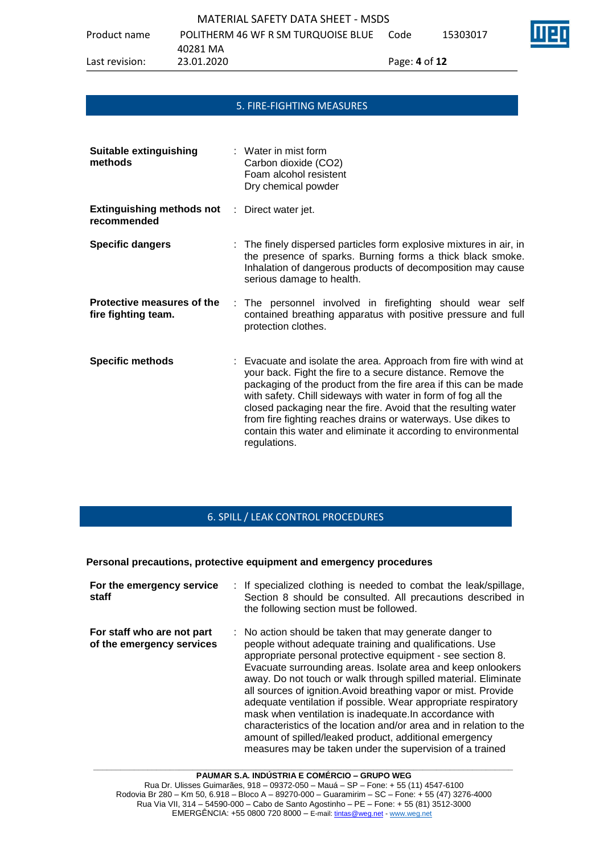Product name POLITHERM 46 WF R SM TURQUOISE BLUE Code 15303017

40281 MA

Last revision: 23.01.2020 Page: **4** of **12**

### 5. FIRE-FIGHTING MEASURES

| <b>Suitable extinguishing</b><br>methods              | $\therefore$ Water in mist form<br>Carbon dioxide (CO2)<br>Foam alcohol resistent<br>Dry chemical powder                                                                                                                                                                                                                                                                                                                                                                               |
|-------------------------------------------------------|----------------------------------------------------------------------------------------------------------------------------------------------------------------------------------------------------------------------------------------------------------------------------------------------------------------------------------------------------------------------------------------------------------------------------------------------------------------------------------------|
| <b>Extinguishing methods not</b><br>÷.<br>recommended | Direct water jet.                                                                                                                                                                                                                                                                                                                                                                                                                                                                      |
| <b>Specific dangers</b>                               | : The finely dispersed particles form explosive mixtures in air, in<br>the presence of sparks. Burning forms a thick black smoke.<br>Inhalation of dangerous products of decomposition may cause<br>serious damage to health.                                                                                                                                                                                                                                                          |
| Protective measures of the<br>fire fighting team.     | : The personnel involved in firefighting should wear self<br>contained breathing apparatus with positive pressure and full<br>protection clothes.                                                                                                                                                                                                                                                                                                                                      |
| <b>Specific methods</b>                               | : Evacuate and isolate the area. Approach from fire with wind at<br>your back. Fight the fire to a secure distance. Remove the<br>packaging of the product from the fire area if this can be made<br>with safety. Chill sideways with water in form of fog all the<br>closed packaging near the fire. Avoid that the resulting water<br>from fire fighting reaches drains or waterways. Use dikes to<br>contain this water and eliminate it according to environmental<br>regulations. |

# 6. SPILL / LEAK CONTROL PROCEDURES

### **Personal precautions, protective equipment and emergency procedures**

| For the emergency service<br>staff                      | : If specialized clothing is needed to combat the leak/spillage,<br>Section 8 should be consulted. All precautions described in<br>the following section must be followed.                                                                                                                                                                                                                                                                                                                                                                                                                                                                                                                                     |
|---------------------------------------------------------|----------------------------------------------------------------------------------------------------------------------------------------------------------------------------------------------------------------------------------------------------------------------------------------------------------------------------------------------------------------------------------------------------------------------------------------------------------------------------------------------------------------------------------------------------------------------------------------------------------------------------------------------------------------------------------------------------------------|
| For staff who are not part<br>of the emergency services | : No action should be taken that may generate danger to<br>people without adequate training and qualifications. Use<br>appropriate personal protective equipment - see section 8.<br>Evacuate surrounding areas. Isolate area and keep onlookers<br>away. Do not touch or walk through spilled material. Eliminate<br>all sources of ignition. Avoid breathing vapor or mist. Provide<br>adequate ventilation if possible. Wear appropriate respiratory<br>mask when ventilation is inadequate. In accordance with<br>characteristics of the location and/or area and in relation to the<br>amount of spilled/leaked product, additional emergency<br>measures may be taken under the supervision of a trained |

**PAUMAR S.A. INDÚSTRIA E COMÉRCIO – GRUPO WEG** Rua Dr. Ulisses Guimarães, 918 – 09372-050 – Mauá – SP – Fone: + 55 (11) 4547-6100 Rodovia Br 280 – Km 50, 6.918 – Bloco A – 89270-000 – Guaramirim – SC – Fone: + 55 (47) 3276-4000 Rua Via VII, 314 – 54590-000 – Cabo de Santo Agostinho – PE – Fone: + 55 (81) 3512-3000 EMERGËNCIA: +55 0800 720 8000 – E-mail[: tintas@weg.net](mailto:tintas@weg.net) - [www.weg.net](http://www.weg.net/)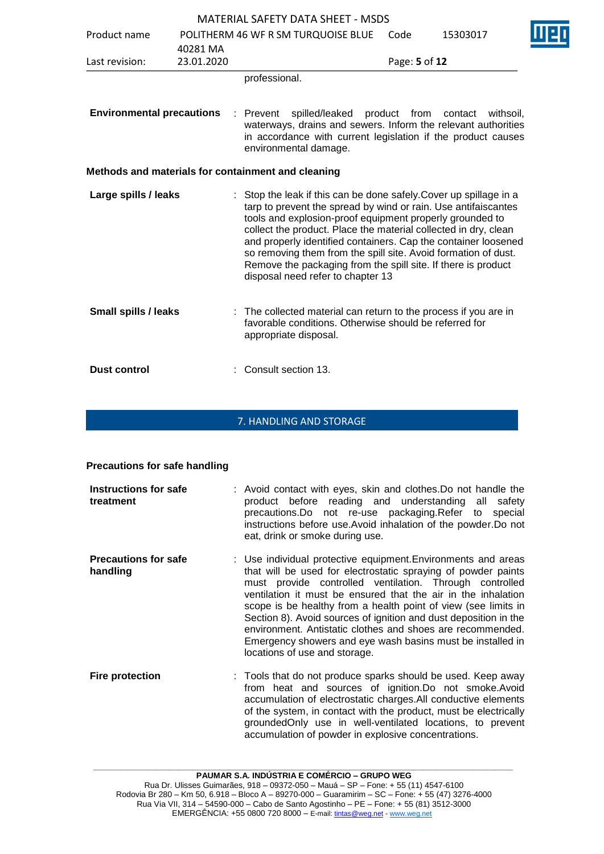|                                  |            | <b>MATERIAL SAFETY DATA SHEET - MSDS</b>                                                                                                                                                                                                                                                                                                                                                                                                                                                                      |               |                      |  |
|----------------------------------|------------|---------------------------------------------------------------------------------------------------------------------------------------------------------------------------------------------------------------------------------------------------------------------------------------------------------------------------------------------------------------------------------------------------------------------------------------------------------------------------------------------------------------|---------------|----------------------|--|
| Product name                     |            | POLITHERM 46 WF R SM TURQUOISE BLUE                                                                                                                                                                                                                                                                                                                                                                                                                                                                           | Code          | 15303017             |  |
|                                  | 40281 MA   |                                                                                                                                                                                                                                                                                                                                                                                                                                                                                                               |               |                      |  |
| Last revision:                   | 23.01.2020 |                                                                                                                                                                                                                                                                                                                                                                                                                                                                                                               | Page: 5 of 12 |                      |  |
|                                  |            | professional.                                                                                                                                                                                                                                                                                                                                                                                                                                                                                                 |               |                      |  |
| <b>Environmental precautions</b> |            | spilled/leaked<br>: Prevent<br>waterways, drains and sewers. Inform the relevant authorities<br>in accordance with current legislation if the product causes<br>environmental damage.                                                                                                                                                                                                                                                                                                                         | product from  | contact<br>withsoil, |  |
|                                  |            | Methods and materials for containment and cleaning                                                                                                                                                                                                                                                                                                                                                                                                                                                            |               |                      |  |
| Large spills / leaks             |            | : Stop the leak if this can be done safely. Cover up spillage in a<br>tarp to prevent the spread by wind or rain. Use antifaiscantes<br>tools and explosion-proof equipment properly grounded to<br>collect the product. Place the material collected in dry, clean<br>and properly identified containers. Cap the container loosened<br>so removing them from the spill site. Avoid formation of dust.<br>Remove the packaging from the spill site. If there is product<br>disposal need refer to chapter 13 |               |                      |  |
| <b>Small spills / leaks</b>      |            | : The collected material can return to the process if you are in<br>favorable conditions. Otherwise should be referred for<br>appropriate disposal.                                                                                                                                                                                                                                                                                                                                                           |               |                      |  |
| <b>Dust control</b>              |            | Consult section 13.                                                                                                                                                                                                                                                                                                                                                                                                                                                                                           |               |                      |  |

# 7. HANDLING AND STORAGE

## **Precautions for safe handling**

| Instructions for safe<br>treatment      | : Avoid contact with eyes, skin and clothes. Do not handle the<br>product before reading and understanding all safety<br>precautions. Do not re-use packaging. Refer to special<br>instructions before use. Avoid inhalation of the powder. Do not<br>eat, drink or smoke during use.                                                                                                                                                                                                                                                                         |
|-----------------------------------------|---------------------------------------------------------------------------------------------------------------------------------------------------------------------------------------------------------------------------------------------------------------------------------------------------------------------------------------------------------------------------------------------------------------------------------------------------------------------------------------------------------------------------------------------------------------|
| <b>Precautions for safe</b><br>handling | : Use individual protective equipment. Environments and areas<br>that will be used for electrostatic spraying of powder paints<br>must provide controlled ventilation. Through controlled<br>ventilation it must be ensured that the air in the inhalation<br>scope is be healthy from a health point of view (see limits in<br>Section 8). Avoid sources of ignition and dust deposition in the<br>environment. Antistatic clothes and shoes are recommended.<br>Emergency showers and eye wash basins must be installed in<br>locations of use and storage. |
| <b>Fire protection</b>                  | : Tools that do not produce sparks should be used. Keep away<br>from heat and sources of ignition.Do not smoke.Avoid<br>accumulation of electrostatic charges. All conductive elements<br>of the system, in contact with the product, must be electrically                                                                                                                                                                                                                                                                                                    |

groundedOnly use in well-ventilated locations, to prevent

accumulation of powder in explosive concentrations.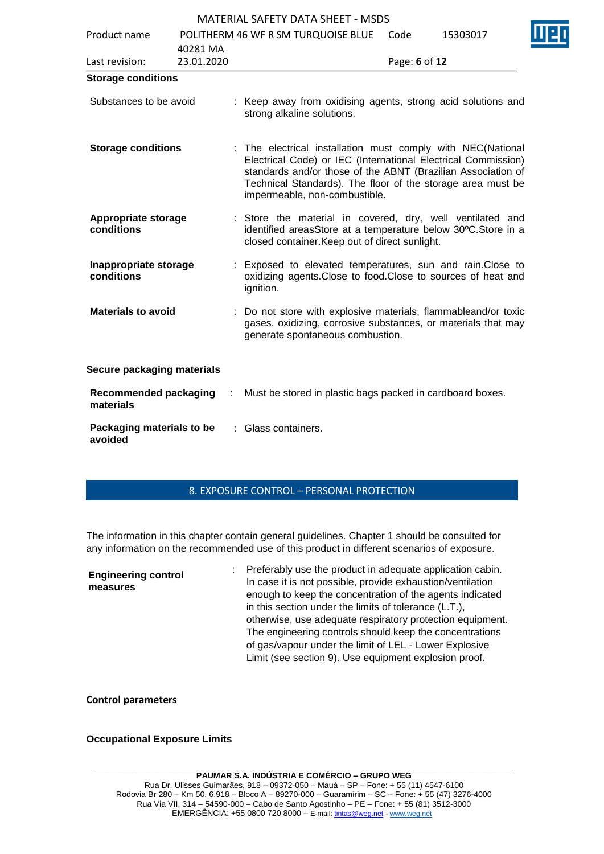|                                           |            | P                                                                                                                                                                                                                                                                                            |               |          |  |
|-------------------------------------------|------------|----------------------------------------------------------------------------------------------------------------------------------------------------------------------------------------------------------------------------------------------------------------------------------------------|---------------|----------|--|
| Product name                              |            | POLITHERM 46 WF R SM TURQUOISE BLUE                                                                                                                                                                                                                                                          | Code          | 15303017 |  |
|                                           | 40281 MA   |                                                                                                                                                                                                                                                                                              |               |          |  |
| Last revision:                            | 23.01.2020 |                                                                                                                                                                                                                                                                                              | Page: 6 of 12 |          |  |
| <b>Storage conditions</b>                 |            |                                                                                                                                                                                                                                                                                              |               |          |  |
| Substances to be avoid                    |            | : Keep away from oxidising agents, strong acid solutions and<br>strong alkaline solutions.                                                                                                                                                                                                   |               |          |  |
| <b>Storage conditions</b>                 |            | : The electrical installation must comply with NEC(National<br>Electrical Code) or IEC (International Electrical Commission)<br>standards and/or those of the ABNT (Brazilian Association of<br>Technical Standards). The floor of the storage area must be<br>impermeable, non-combustible. |               |          |  |
| Appropriate storage<br>conditions         |            | : Store the material in covered, dry, well ventilated and<br>identified areasStore at a temperature below 30°C.Store in a<br>closed container. Keep out of direct sunlight.                                                                                                                  |               |          |  |
| Inappropriate storage<br>conditions       |            | : Exposed to elevated temperatures, sun and rain. Close to<br>oxidizing agents. Close to food. Close to sources of heat and<br>ignition.                                                                                                                                                     |               |          |  |
| <b>Materials to avoid</b>                 |            | : Do not store with explosive materials, flammableand/or toxic<br>gases, oxidizing, corrosive substances, or materials that may<br>generate spontaneous combustion.                                                                                                                          |               |          |  |
| Secure packaging materials                |            |                                                                                                                                                                                                                                                                                              |               |          |  |
| <b>Recommended packaging</b><br>materials | ÷          | Must be stored in plastic bags packed in cardboard boxes.                                                                                                                                                                                                                                    |               |          |  |
| Packaging materials to be<br>avoided      |            | : Glass containers.                                                                                                                                                                                                                                                                          |               |          |  |

## 8. EXPOSURE CONTROL – PERSONAL PROTECTION

The information in this chapter contain general guidelines. Chapter 1 should be consulted for any information on the recommended use of this product in different scenarios of exposure.

| <b>Engineering control</b><br>In case it is not possible, provide exhaustion/ventilation<br>measures<br>enough to keep the concentration of the agents indicated<br>in this section under the limits of tolerance (L.T.),<br>otherwise, use adequate respiratory protection equipment.<br>The engineering controls should keep the concentrations<br>of gas/vapour under the limit of LEL - Lower Explosive<br>Limit (see section 9). Use equipment explosion proof. |  |
|----------------------------------------------------------------------------------------------------------------------------------------------------------------------------------------------------------------------------------------------------------------------------------------------------------------------------------------------------------------------------------------------------------------------------------------------------------------------|--|
|----------------------------------------------------------------------------------------------------------------------------------------------------------------------------------------------------------------------------------------------------------------------------------------------------------------------------------------------------------------------------------------------------------------------------------------------------------------------|--|

**Control parameters**

### **Occupational Exposure Limits**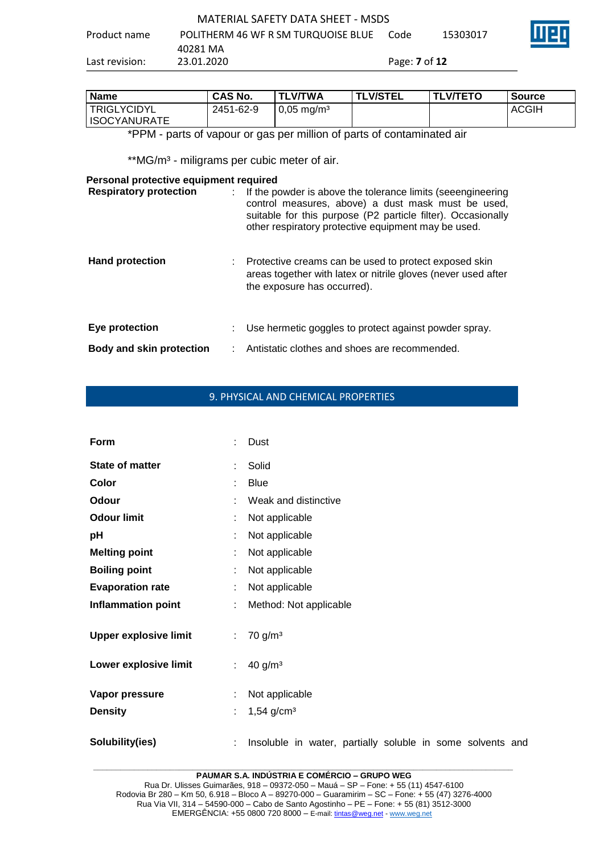| Product name   | POLITHERM 46 WF R SM TURQUOISE BLUE | Code                        | 15303017 |
|----------------|-------------------------------------|-----------------------------|----------|
|                | 40281 MA                            |                             |          |
| Last revision: | 23.01.2020                          | Page: <b>7</b> of <b>12</b> |          |

| Name         | <b>CAS No.</b> | <b>TLV/TWA</b>           | <b>TLV/STEL</b> | <b>TLV/TETO</b> | <b>Source</b> |
|--------------|----------------|--------------------------|-----------------|-----------------|---------------|
| TRIGLYCIDYL  | 2451-62-9      | $0,05 \,\mathrm{mg/m^3}$ |                 |                 | <b>ACGIH</b>  |
| ISOCYANURATE |                |                          |                 |                 |               |

\*PPM - parts of vapour or gas per million of parts of contaminated air

\*\*MG/m<sup>3</sup> - miligrams per cubic meter of air.

### **Personal protective equipment required**

| <b>Respiratory protection</b>   | If the powder is above the tolerance limits (seeengineering<br>control measures, above) a dust mask must be used,<br>suitable for this purpose (P2 particle filter). Occasionally<br>other respiratory protective equipment may be used. |
|---------------------------------|------------------------------------------------------------------------------------------------------------------------------------------------------------------------------------------------------------------------------------------|
| <b>Hand protection</b>          | : Protective creams can be used to protect exposed skin<br>areas together with latex or nitrile gloves (never used after<br>the exposure has occurred).                                                                                  |
| Eye protection                  | Use hermetic goggles to protect against powder spray.                                                                                                                                                                                    |
| <b>Body and skin protection</b> | Antistatic clothes and shoes are recommended.                                                                                                                                                                                            |

# 9. PHYSICAL AND CHEMICAL PROPERTIES

| Form                         |    | Dust                                                       |
|------------------------------|----|------------------------------------------------------------|
| <b>State of matter</b>       | ÷. | Solid                                                      |
| Color                        |    | <b>Blue</b>                                                |
| Odour                        |    | Weak and distinctive                                       |
| <b>Odour limit</b>           |    | Not applicable                                             |
| pH                           |    | Not applicable                                             |
| <b>Melting point</b>         |    | Not applicable                                             |
| <b>Boiling point</b>         |    | Not applicable                                             |
| <b>Evaporation rate</b>      |    | Not applicable                                             |
| <b>Inflammation point</b>    |    | Method: Not applicable                                     |
| <b>Upper explosive limit</b> | ÷. | $70$ g/m <sup>3</sup>                                      |
| Lower explosive limit        | ÷. | 40 g/m <sup>3</sup>                                        |
| Vapor pressure               | ÷  | Not applicable                                             |
| <b>Density</b>               |    | $1,54$ g/cm <sup>3</sup>                                   |
| Solubility(ies)              |    | Insoluble in water, partially soluble in some solvents and |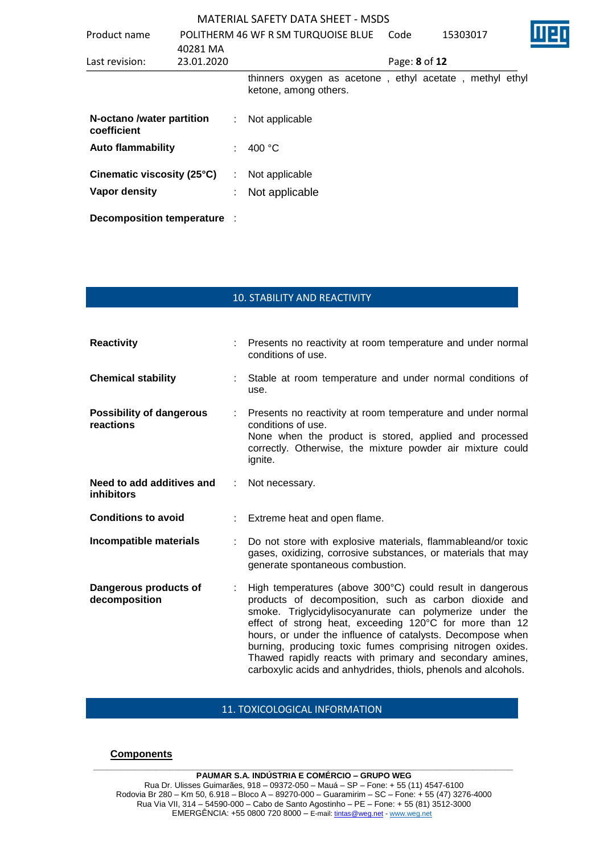| Product name                             |                        | POLITHERM 46 WF R SM TURQUOISE BLUE                                              | Code          | 15303017 |  |
|------------------------------------------|------------------------|----------------------------------------------------------------------------------|---------------|----------|--|
| Last revision:                           | 40281 MA<br>23.01.2020 |                                                                                  | Page: 8 of 12 |          |  |
|                                          |                        | thinners oxygen as acetone, ethyl acetate, methyl ethyl<br>ketone, among others. |               |          |  |
| N-octano /water partition<br>coefficient |                        | Not applicable                                                                   |               |          |  |
| <b>Auto flammability</b>                 |                        | 400 $\degree$ C                                                                  |               |          |  |
| Cinematic viscosity (25°C)               |                        | Not applicable                                                                   |               |          |  |
| Vapor density                            |                        | Not applicable                                                                   |               |          |  |
| Decomposition temperature :              |                        |                                                                                  |               |          |  |

# 10. STABILITY AND REACTIVITY

| <b>Reactivity</b>                              |   | Presents no reactivity at room temperature and under normal<br>conditions of use.                                                                                                                                                                                                                                                                                                                                                                                                                  |
|------------------------------------------------|---|----------------------------------------------------------------------------------------------------------------------------------------------------------------------------------------------------------------------------------------------------------------------------------------------------------------------------------------------------------------------------------------------------------------------------------------------------------------------------------------------------|
| <b>Chemical stability</b>                      |   | Stable at room temperature and under normal conditions of<br>use.                                                                                                                                                                                                                                                                                                                                                                                                                                  |
| <b>Possibility of dangerous</b><br>reactions   |   | Presents no reactivity at room temperature and under normal<br>conditions of use.<br>None when the product is stored, applied and processed<br>correctly. Otherwise, the mixture powder air mixture could<br>ignite.                                                                                                                                                                                                                                                                               |
| Need to add additives and<br><b>inhibitors</b> | ÷ | Not necessary.                                                                                                                                                                                                                                                                                                                                                                                                                                                                                     |
| <b>Conditions to avoid</b>                     |   | Extreme heat and open flame.                                                                                                                                                                                                                                                                                                                                                                                                                                                                       |
| Incompatible materials                         |   | Do not store with explosive materials, flammableand/or toxic<br>gases, oxidizing, corrosive substances, or materials that may<br>generate spontaneous combustion.                                                                                                                                                                                                                                                                                                                                  |
| Dangerous products of<br>decomposition         |   | High temperatures (above 300°C) could result in dangerous<br>products of decomposition, such as carbon dioxide and<br>smoke. Triglycidylisocyanurate can polymerize under the<br>effect of strong heat, exceeding 120°C for more than 12<br>hours, or under the influence of catalysts. Decompose when<br>burning, producing toxic fumes comprising nitrogen oxides.<br>Thawed rapidly reacts with primary and secondary amines,<br>carboxylic acids and anhydrides, thiols, phenols and alcohols. |

# 11. TOXICOLOGICAL INFORMATION

### **Components**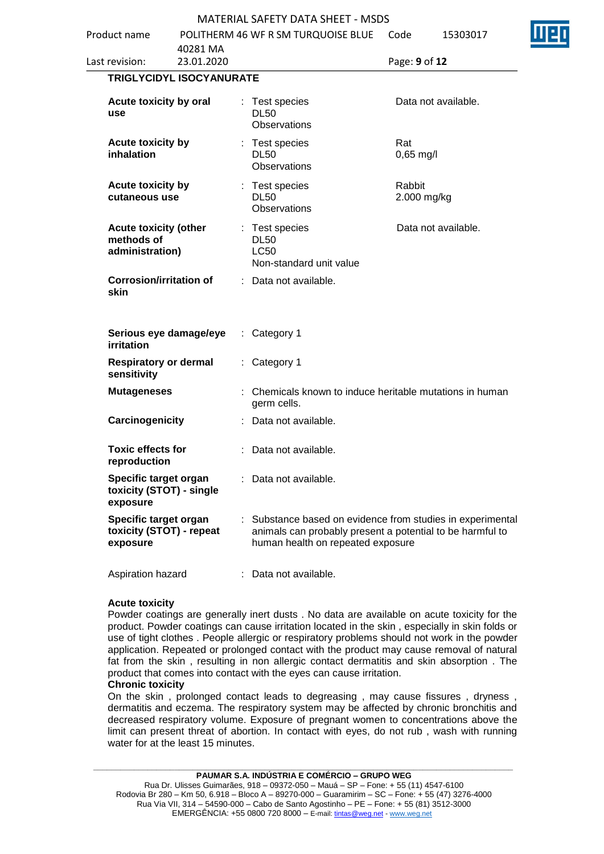|                                                               |                        |    | MATERIAL SAFETY DATA SHEET - MSDS                                                                                                                            |                       |                     |
|---------------------------------------------------------------|------------------------|----|--------------------------------------------------------------------------------------------------------------------------------------------------------------|-----------------------|---------------------|
| Product name                                                  |                        |    | POLITHERM 46 WF R SM TURQUOISE BLUE                                                                                                                          | Code                  | 15303017            |
| Last revision:                                                | 40281 MA<br>23.01.2020 |    |                                                                                                                                                              | Page: 9 of 12         |                     |
|                                                               |                        |    |                                                                                                                                                              |                       |                     |
| TRIGLYCIDYL ISOCYANURATE                                      |                        |    |                                                                                                                                                              |                       |                     |
| Acute toxicity by oral<br>use                                 |                        |    | : Test species<br><b>DL50</b><br><b>Observations</b>                                                                                                         |                       | Data not available. |
| Acute toxicity by<br>inhalation                               |                        |    | : Test species<br><b>DL50</b><br><b>Observations</b>                                                                                                         | Rat<br>$0,65$ mg/l    |                     |
| <b>Acute toxicity by</b><br>cutaneous use                     |                        |    | : Test species<br><b>DL50</b><br><b>Observations</b>                                                                                                         | Rabbit<br>2.000 mg/kg |                     |
| <b>Acute toxicity (other</b><br>methods of<br>administration) |                        |    | : Test species<br><b>DL50</b><br><b>LC50</b><br>Non-standard unit value                                                                                      |                       | Data not available. |
| <b>Corrosion/irritation of</b><br>skin                        |                        |    | : Data not available.                                                                                                                                        |                       |                     |
| Serious eye damage/eye<br>irritation                          |                        |    | Category 1                                                                                                                                                   |                       |                     |
| <b>Respiratory or dermal</b><br>sensitivity                   |                        | ÷. | Category 1                                                                                                                                                   |                       |                     |
| <b>Mutageneses</b>                                            |                        |    | Chemicals known to induce heritable mutations in human<br>germ cells.                                                                                        |                       |                     |
| Carcinogenicity                                               |                        |    | : Data not available.                                                                                                                                        |                       |                     |
| <b>Toxic effects for</b><br>reproduction                      |                        |    | Data not available.                                                                                                                                          |                       |                     |
| Specific target organ<br>toxicity (STOT) - single<br>exposure |                        |    | Data not available.                                                                                                                                          |                       |                     |
| Specific target organ<br>toxicity (STOT) - repeat<br>exposure |                        |    | : Substance based on evidence from studies in experimental<br>animals can probably present a potential to be harmful to<br>human health on repeated exposure |                       |                     |
| Aspiration hazard                                             |                        |    | : Data not available.                                                                                                                                        |                       |                     |

### **Acute toxicity**

Powder coatings are generally inert dusts . No data are available on acute toxicity for the product. Powder coatings can cause irritation located in the skin , especially in skin folds or use of tight clothes . People allergic or respiratory problems should not work in the powder application. Repeated or prolonged contact with the product may cause removal of natural fat from the skin , resulting in non allergic contact dermatitis and skin absorption . The product that comes into contact with the eyes can cause irritation.

### **Chronic toxicity**

On the skin , prolonged contact leads to degreasing , may cause fissures , dryness , dermatitis and eczema. The respiratory system may be affected by chronic bronchitis and decreased respiratory volume. Exposure of pregnant women to concentrations above the limit can present threat of abortion. In contact with eyes, do not rub , wash with running water for at the least 15 minutes.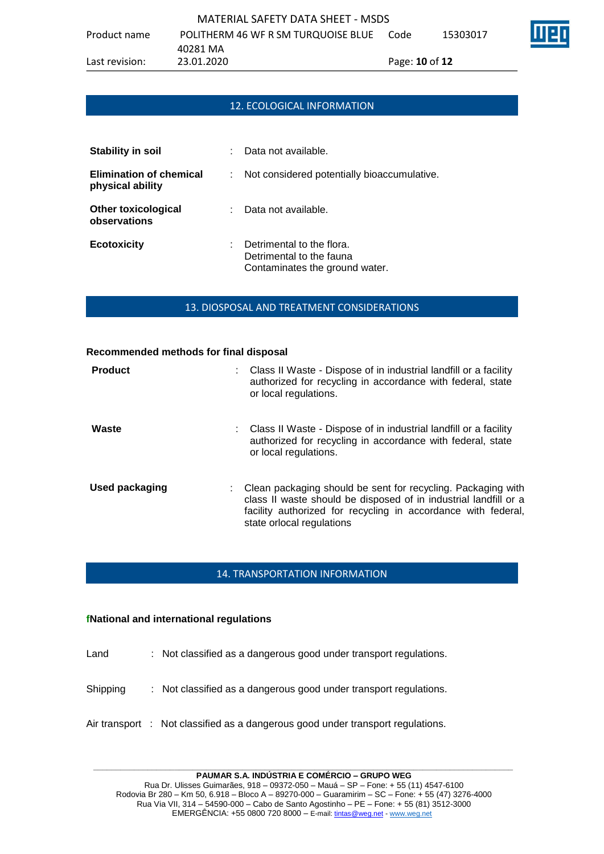

## 12. ECOLOGICAL INFORMATION

| Stability in soil                                  | ٠ | Data not available.                                                                     |
|----------------------------------------------------|---|-----------------------------------------------------------------------------------------|
| <b>Elimination of chemical</b><br>physical ability |   | Not considered potentially bioaccumulative.                                             |
| <b>Other toxicological</b><br>observations         |   | Data not available.                                                                     |
| <b>Ecotoxicity</b>                                 |   | Detrimental to the flora.<br>Detrimental to the fauna<br>Contaminates the ground water. |

### 13. DIOSPOSAL AND TREATMENT CONSIDERATIONS

| Recommended methods for final disposal |                                                                                                                                                                                                                                |
|----------------------------------------|--------------------------------------------------------------------------------------------------------------------------------------------------------------------------------------------------------------------------------|
| <b>Product</b>                         | : Class II Waste - Dispose of in industrial landfill or a facility<br>authorized for recycling in accordance with federal, state<br>or local regulations.                                                                      |
| Waste                                  | : Class II Waste - Dispose of in industrial landfill or a facility<br>authorized for recycling in accordance with federal, state<br>or local regulations.                                                                      |
| <b>Used packaging</b>                  | Clean packaging should be sent for recycling. Packaging with<br>class II waste should be disposed of in industrial landfill or a<br>facility authorized for recycling in accordance with federal,<br>state orlocal regulations |

## 14. TRANSPORTATION INFORMATION

### **fNational and international regulations**

Land : Not classified as a dangerous good under transport regulations.

- Shipping : Not classified as a dangerous good under transport regulations.
- Air transport : Not classified as a dangerous good under transport regulations.

**\_\_\_\_\_\_\_\_\_\_\_\_\_\_\_\_\_\_\_\_\_\_\_\_\_\_\_\_\_\_\_\_\_\_\_\_\_\_\_\_\_\_\_\_\_\_\_\_\_\_\_\_\_\_\_\_\_\_\_\_\_\_\_\_\_\_\_\_\_\_\_\_\_\_\_\_\_\_\_\_\_\_\_\_\_\_\_\_\_\_\_\_\_ PAUMAR S.A. INDÚSTRIA E COMÉRCIO – GRUPO WEG**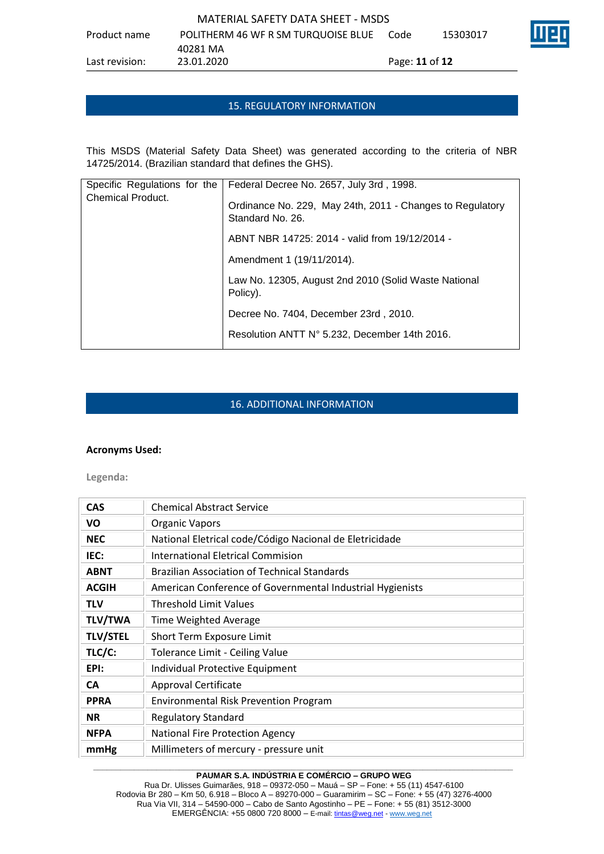## 15. REGULATORY INFORMATION

This MSDS (Material Safety Data Sheet) was generated according to the criteria of NBR 14725/2014. (Brazilian standard that defines the GHS).

| Specific Regulations for the<br><b>Chemical Product.</b> | Federal Decree No. 2657, July 3rd, 1998.                                      |
|----------------------------------------------------------|-------------------------------------------------------------------------------|
|                                                          | Ordinance No. 229, May 24th, 2011 - Changes to Regulatory<br>Standard No. 26. |
|                                                          | ABNT NBR 14725: 2014 - valid from 19/12/2014 -                                |
|                                                          | Amendment 1 (19/11/2014).                                                     |
|                                                          | Law No. 12305, August 2nd 2010 (Solid Waste National<br>Policy).              |
|                                                          | Decree No. 7404, December 23rd, 2010.                                         |
|                                                          | Resolution ANTT N° 5.232, December 14th 2016.                                 |

# 16. ADDITIONAL INFORMATION

### **Acronyms Used:**

**Legenda:**

| <b>CAS</b>      | <b>Chemical Abstract Service</b>                          |
|-----------------|-----------------------------------------------------------|
| VO              | <b>Organic Vapors</b>                                     |
| <b>NEC</b>      | National Eletrical code/Código Nacional de Eletricidade   |
| IEC:            | <b>International Eletrical Commision</b>                  |
| <b>ABNT</b>     | <b>Brazilian Association of Technical Standards</b>       |
| <b>ACGIH</b>    | American Conference of Governmental Industrial Hygienists |
| <b>TLV</b>      | <b>Threshold Limit Values</b>                             |
| <b>TLV/TWA</b>  | Time Weighted Average                                     |
| <b>TLV/STEL</b> | Short Term Exposure Limit                                 |
| TLC/C:          | Tolerance Limit - Ceiling Value                           |
| EPI:            | Individual Protective Equipment                           |
| <b>CA</b>       | Approval Certificate                                      |
| <b>PPRA</b>     | <b>Environmental Risk Prevention Program</b>              |
| <b>NR</b>       | <b>Regulatory Standard</b>                                |
| <b>NFPA</b>     | <b>National Fire Protection Agency</b>                    |
| mmHg            | Millimeters of mercury - pressure unit                    |

### **\_\_\_\_\_\_\_\_\_\_\_\_\_\_\_\_\_\_\_\_\_\_\_\_\_\_\_\_\_\_\_\_\_\_\_\_\_\_\_\_\_\_\_\_\_\_\_\_\_\_\_\_\_\_\_\_\_\_\_\_\_\_\_\_\_\_\_\_\_\_\_\_\_\_\_\_\_\_\_\_\_\_\_\_\_\_\_\_\_\_\_\_\_ PAUMAR S.A. INDÚSTRIA E COMÉRCIO – GRUPO WEG**